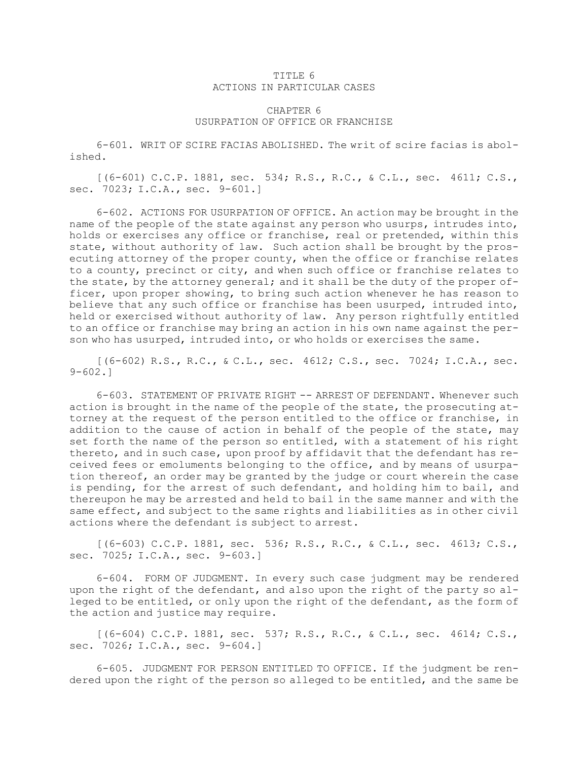## TITLE 6 ACTIONS IN PARTICULAR CASES

## CHAPTER 6 USURPATION OF OFFICE OR FRANCHISE

6-601. WRIT OF SCIRE FACIAS ABOLISHED. The writ of scire facias is abolished.

[(6-601) C.C.P. 1881, sec. 534; R.S., R.C., & C.L., sec. 4611; C.S., sec. 7023; I.C.A., sec. 9-601.]

6-602. ACTIONS FOR USURPATION OF OFFICE. An action may be brought in the name of the people of the state against any person who usurps, intrudes into, holds or exercises any office or franchise, real or pretended, within this state, without authority of law. Such action shall be brought by the prosecuting attorney of the proper county, when the office or franchise relates to <sup>a</sup> county, precinct or city, and when such office or franchise relates to the state, by the attorney general; and it shall be the duty of the proper officer, upon proper showing, to bring such action whenever he has reason to believe that any such office or franchise has been usurped, intruded into, held or exercised without authority of law. Any person rightfully entitled to an office or franchise may bring an action in his own name against the person who has usurped, intruded into, or who holds or exercises the same.

 $[(6-602)$  R.S., R.C., & C.L., sec. 4612; C.S., sec. 7024; I.C.A., sec. 9-602.]

6-603. STATEMENT OF PRIVATE RIGHT -- ARREST OF DEFENDANT. Whenever such action is brought in the name of the people of the state, the prosecuting attorney at the request of the person entitled to the office or franchise, in addition to the cause of action in behalf of the people of the state, may set forth the name of the person so entitled, with <sup>a</sup> statement of his right thereto, and in such case, upon proof by affidavit that the defendant has received fees or emoluments belonging to the office, and by means of usurpation thereof, an order may be granted by the judge or court wherein the case is pending, for the arrest of such defendant, and holding him to bail, and thereupon he may be arrested and held to bail in the same manner and with the same effect, and subject to the same rights and liabilities as in other civil actions where the defendant is subject to arrest.

[(6-603) C.C.P. 1881, sec. 536; R.S., R.C., & C.L., sec. 4613; C.S., sec. 7025; I.C.A., sec. 9-603.]

6-604. FORM OF JUDGMENT. In every such case judgment may be rendered upon the right of the defendant, and also upon the right of the party so alleged to be entitled, or only upon the right of the defendant, as the form of the action and justice may require.

[(6-604) C.C.P. 1881, sec. 537; R.S., R.C., & C.L., sec. 4614; C.S., sec. 7026; I.C.A., sec. 9-604.]

6-605. JUDGMENT FOR PERSON ENTITLED TO OFFICE. If the judgment be rendered upon the right of the person so alleged to be entitled, and the same be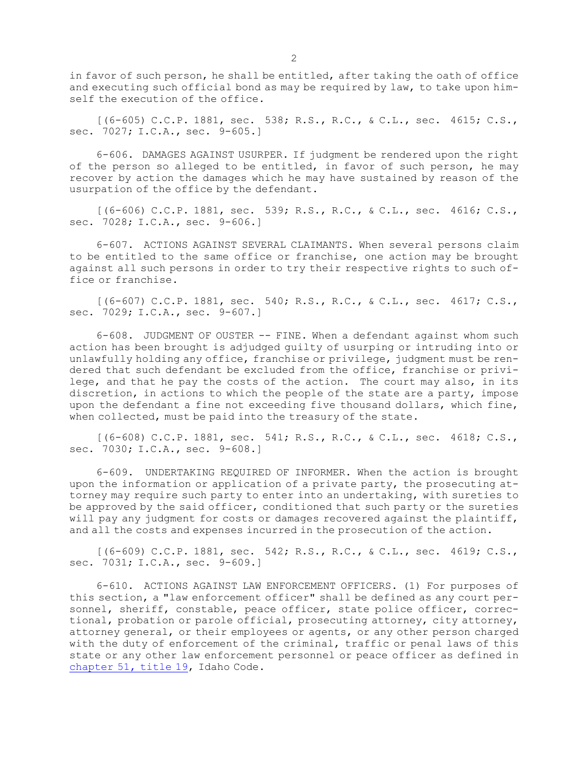in favor of such person, he shall be entitled, after taking the oath of office and executing such official bond as may be required by law, to take upon himself the execution of the office.

[(6-605) C.C.P. 1881, sec. 538; R.S., R.C., & C.L., sec. 4615; C.S., sec. 7027; I.C.A., sec. 9-605.]

6-606. DAMAGES AGAINST USURPER. If judgment be rendered upon the right of the person so alleged to be entitled, in favor of such person, he may recover by action the damages which he may have sustained by reason of the usurpation of the office by the defendant.

[(6-606) C.C.P. 1881, sec. 539; R.S., R.C., & C.L., sec. 4616; C.S., sec. 7028; I.C.A., sec. 9-606.]

6-607. ACTIONS AGAINST SEVERAL CLAIMANTS. When several persons claim to be entitled to the same office or franchise, one action may be brought against all such persons in order to try their respective rights to such office or franchise.

[(6-607) C.C.P. 1881, sec. 540; R.S., R.C., & C.L., sec. 4617; C.S., sec. 7029; I.C.A., sec. 9-607.]

6-608. JUDGMENT OF OUSTER -- FINE. When <sup>a</sup> defendant against whom such action has been brought is adjudged guilty of usurping or intruding into or unlawfully holding any office, franchise or privilege, judgment must be rendered that such defendant be excluded from the office, franchise or privilege, and that he pay the costs of the action. The court may also, in its discretion, in actions to which the people of the state are <sup>a</sup> party, impose upon the defendant <sup>a</sup> fine not exceeding five thousand dollars, which fine, when collected, must be paid into the treasury of the state.

[(6-608) C.C.P. 1881, sec. 541; R.S., R.C., & C.L., sec. 4618; C.S., sec. 7030; I.C.A., sec. 9-608.]

6-609. UNDERTAKING REQUIRED OF INFORMER. When the action is brought upon the information or application of <sup>a</sup> private party, the prosecuting attorney may require such party to enter into an undertaking, with sureties to be approved by the said officer, conditioned that such party or the sureties will pay any judgment for costs or damages recovered against the plaintiff, and all the costs and expenses incurred in the prosecution of the action.

[(6-609) C.C.P. 1881, sec. 542; R.S., R.C., & C.L., sec. 4619; C.S., sec. 7031; I.C.A., sec. 9-609.]

6-610. ACTIONS AGAINST LAW ENFORCEMENT OFFICERS. (1) For purposes of this section, <sup>a</sup> "law enforcement officer" shall be defined as any court personnel, sheriff, constable, peace officer, state police officer, correctional, probation or parole official, prosecuting attorney, city attorney, attorney general, or their employees or agents, or any other person charged with the duty of enforcement of the criminal, traffic or penal laws of this state or any other law enforcement personnel or peace officer as defined in [chapter](https://legislature.idaho.gov/statutesrules/idstat/Title19/T19CH51) 51, title 19, Idaho Code.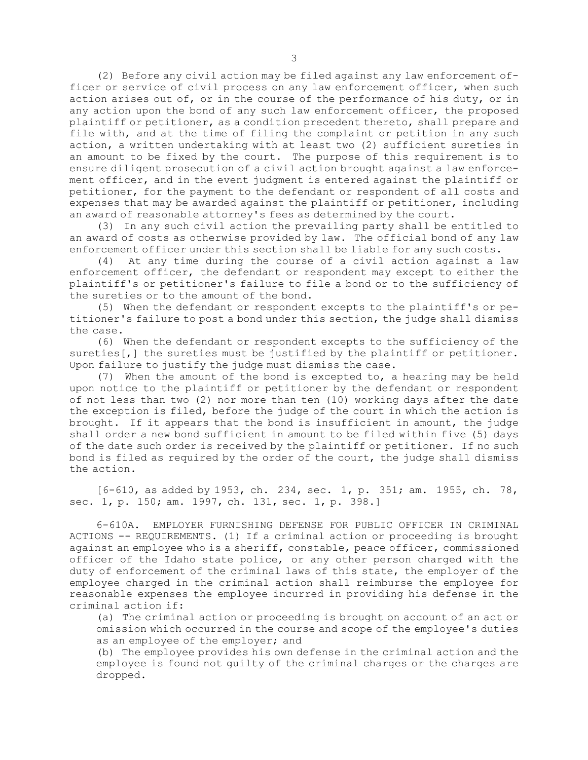(2) Before any civil action may be filed against any law enforcement officer or service of civil process on any law enforcement officer, when such action arises out of, or in the course of the performance of his duty, or in any action upon the bond of any such law enforcement officer, the proposed plaintiff or petitioner, as <sup>a</sup> condition precedent thereto, shall prepare and file with, and at the time of filing the complaint or petition in any such action, <sup>a</sup> written undertaking with at least two (2) sufficient sureties in an amount to be fixed by the court. The purpose of this requirement is to ensure diligent prosecution of <sup>a</sup> civil action brought against <sup>a</sup> law enforcement officer, and in the event judgment is entered against the plaintiff or petitioner, for the payment to the defendant or respondent of all costs and expenses that may be awarded against the plaintiff or petitioner, including an award of reasonable attorney's fees as determined by the court.

(3) In any such civil action the prevailing party shall be entitled to an award of costs as otherwise provided by law. The official bond of any law enforcement officer under this section shall be liable for any such costs.

(4) At any time during the course of <sup>a</sup> civil action against <sup>a</sup> law enforcement officer, the defendant or respondent may except to either the plaintiff's or petitioner's failure to file <sup>a</sup> bond or to the sufficiency of the sureties or to the amount of the bond.

(5) When the defendant or respondent excepts to the plaintiff's or petitioner's failure to post <sup>a</sup> bond under this section, the judge shall dismiss the case.

(6) When the defendant or respondent excepts to the sufficiency of the sureties[,] the sureties must be justified by the plaintiff or petitioner. Upon failure to justify the judge must dismiss the case.

(7) When the amount of the bond is excepted to, <sup>a</sup> hearing may be held upon notice to the plaintiff or petitioner by the defendant or respondent of not less than two (2) nor more than ten (10) working days after the date the exception is filed, before the judge of the court in which the action is brought. If it appears that the bond is insufficient in amount, the judge shall order <sup>a</sup> new bond sufficient in amount to be filed within five (5) days of the date such order is received by the plaintiff or petitioner. If no such bond is filed as required by the order of the court, the judge shall dismiss the action.

[6-610, as added by 1953, ch. 234, sec. 1, p. 351; am. 1955, ch. 78, sec. 1, p. 150; am. 1997, ch. 131, sec. 1, p. 398.]

6-610A. EMPLOYER FURNISHING DEFENSE FOR PUBLIC OFFICER IN CRIMINAL ACTIONS -- REQUIREMENTS. (1) If <sup>a</sup> criminal action or proceeding is brought against an employee who is <sup>a</sup> sheriff, constable, peace officer, commissioned officer of the Idaho state police, or any other person charged with the duty of enforcement of the criminal laws of this state, the employer of the employee charged in the criminal action shall reimburse the employee for reasonable expenses the employee incurred in providing his defense in the criminal action if:

(a) The criminal action or proceeding is brought on account of an act or omission which occurred in the course and scope of the employee's duties as an employee of the employer; and

(b) The employee provides his own defense in the criminal action and the employee is found not guilty of the criminal charges or the charges are dropped.